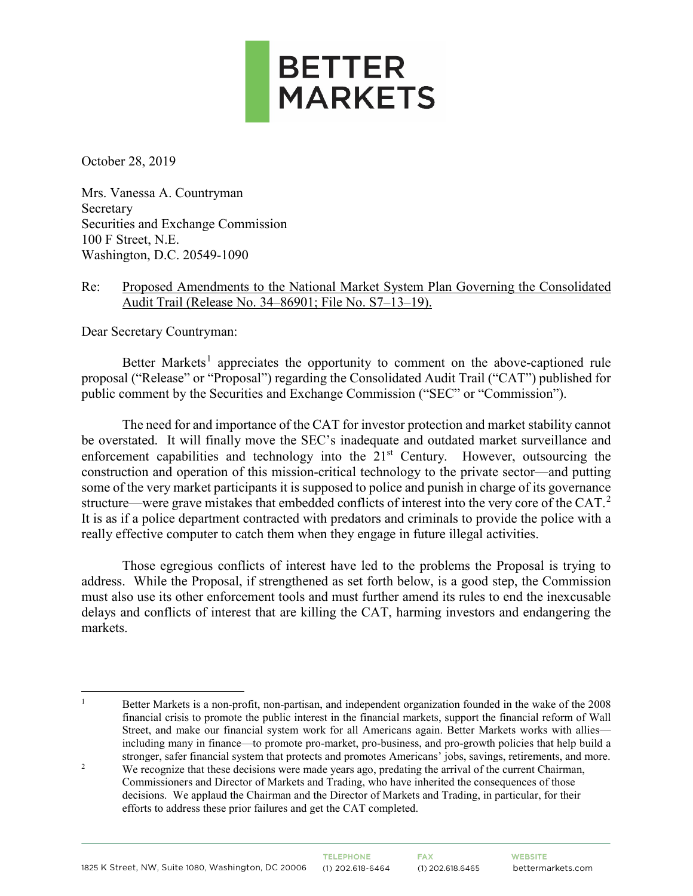

October 28, 2019

Mrs. Vanessa A. Countryman Secretary Securities and Exchange Commission 100 F Street, N.E. Washington, D.C. 20549-1090

### Re: Proposed Amendments to the National Market System Plan Governing the Consolidated Audit Trail (Release No. 34–86901; File No. S7–13–19).

Dear Secretary Countryman:

Better Markets<sup>[1](#page-0-0)</sup> appreciates the opportunity to comment on the above-captioned rule proposal ("Release" or "Proposal") regarding the Consolidated Audit Trail ("CAT") published for public comment by the Securities and Exchange Commission ("SEC" or "Commission").

The need for and importance of the CAT for investor protection and market stability cannot be overstated. It will finally move the SEC's inadequate and outdated market surveillance and enforcement capabilities and technology into the  $21<sup>st</sup>$  Century. However, outsourcing the construction and operation of this mission-critical technology to the private sector—and putting some of the very market participants it is supposed to police and punish in charge of its governance structure—were grave mistakes that embedded conflicts of interest into the very core of the CAT.<sup>[2](#page-0-1)</sup> It is as if a police department contracted with predators and criminals to provide the police with a really effective computer to catch them when they engage in future illegal activities.

Those egregious conflicts of interest have led to the problems the Proposal is trying to address. While the Proposal, if strengthened as set forth below, is a good step, the Commission must also use its other enforcement tools and must further amend its rules to end the inexcusable delays and conflicts of interest that are killing the CAT, harming investors and endangering the markets.

<sup>1</sup> Better Markets is a non-profit, non-partisan, and independent organization founded in the wake of the 2008 financial crisis to promote the public interest in the financial markets, support the financial reform of Wall Street, and make our financial system work for all Americans again. Better Markets works with allies including many in finance—to promote pro-market, pro-business, and pro-growth policies that help build a stronger, safer financial system that protects and promotes Americans' jobs, savings, retirements, and more.

<span id="page-0-0"></span>

<span id="page-0-1"></span><sup>&</sup>lt;sup>2</sup> We recognize that these decisions were made years ago, predating the arrival of the current Chairman, Commissioners and Director of Markets and Trading, who have inherited the consequences of those decisions. We applaud the Chairman and the Director of Markets and Trading, in particular, for their efforts to address these prior failures and get the CAT completed.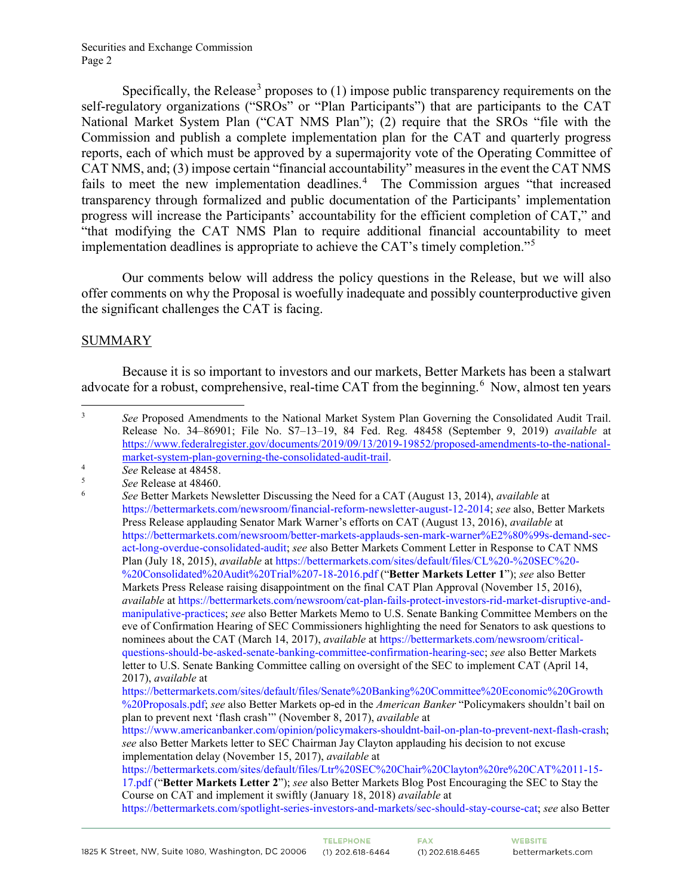Specifically, the Release<sup>[3](#page-1-0)</sup> proposes to  $(1)$  impose public transparency requirements on the self-regulatory organizations ("SROs" or "Plan Participants") that are participants to the CAT National Market System Plan ("CAT NMS Plan"); (2) require that the SROs "file with the Commission and publish a complete implementation plan for the CAT and quarterly progress reports, each of which must be approved by a supermajority vote of the Operating Committee of CAT NMS, and; (3) impose certain "financial accountability" measures in the event the CAT NMS fails to meet the new implementation deadlines.<sup>[4](#page-1-1)</sup> The Commission argues "that increased transparency through formalized and public documentation of the Participants' implementation progress will increase the Participants' accountability for the efficient completion of CAT," and "that modifying the CAT NMS Plan to require additional financial accountability to meet implementation deadlines is appropriate to achieve the CAT's timely completion."[5](#page-1-2)

Our comments below will address the policy questions in the Release, but we will also offer comments on why the Proposal is woefully inadequate and possibly counterproductive given the significant challenges the CAT is facing.

### SUMMARY

Because it is so important to investors and our markets, Better Markets has been a stalwart advocate for a robust, comprehensive, real-time CAT from the beginning.<sup>[6](#page-1-3)</sup> Now, almost ten years

[https://bettermarkets.com/sites/default/files/Ltr%20SEC%20Chair%20Clayton%20re%20CAT%2011-15-](https://bettermarkets.com/sites/default/files/Ltr%20SEC%20Chair%20Clayton%20re%20CAT%2011-15-17.pdf) [17.pdf](https://bettermarkets.com/sites/default/files/Ltr%20SEC%20Chair%20Clayton%20re%20CAT%2011-15-17.pdf) ("**Better Markets Letter 2**"); *see* also Better Markets Blog Post Encouraging the SEC to Stay the Course on CAT and implement it swiftly (January 18, 2018) *available* at

<span id="page-1-0"></span><sup>&</sup>lt;sup>3</sup> See Proposed Amendments to the National Market System Plan Governing the Consolidated Audit Trail. Release No. 34–86901; File No. S7–13–19, 84 Fed. Reg. 48458 (September 9, 2019) *available* at [https://www.federalregister.gov/documents/2019/09/13/2019-19852/proposed-amendments-to-the-national](https://www.federalregister.gov/documents/2019/09/13/2019-19852/proposed-amendments-to-the-national-market-system-plan-governing-the-consolidated-audit-trail)market-system-plan-governing-the-consolidated-audit-trail.<br>
<sup>4</sup> See Release at 48458.<br>
<sup>5</sup> See Release at 48460.<br>
<sup>6</sup> See Better Markets Newsletter Discussing the Need for a CAT (August 13, 2014), *available* at

<span id="page-1-1"></span>

<span id="page-1-3"></span><span id="page-1-2"></span>

[https://bettermarkets.com/newsroom/financial-reform-newsletter-august-12-2014;](https://bettermarkets.com/newsroom/financial-reform-newsletter-august-12-2014) *see* also, Better Markets Press Release applauding Senator Mark Warner's efforts on CAT (August 13, 2016), *available* at [https://bettermarkets.com/newsroom/better-markets-applauds-sen-mark-warner%E2%80%99s-demand-sec](https://bettermarkets.com/newsroom/better-markets-applauds-sen-mark-warner%E2%80%99s-demand-sec-act-long-overdue-consolidated-audit)[act-long-overdue-consolidated-audit;](https://bettermarkets.com/newsroom/better-markets-applauds-sen-mark-warner%E2%80%99s-demand-sec-act-long-overdue-consolidated-audit) *see* also Better Markets Comment Letter in Response to CAT NMS Plan (July 18, 2015), *available* a[t https://bettermarkets.com/sites/default/files/CL%20-%20SEC%20-](https://bettermarkets.com/sites/default/files/CL%20-%20SEC%20-%20Consolidated%20Audit%20Trial%207-18-2016.pdf) [%20Consolidated%20Audit%20Trial%207-18-2016.pdf](https://bettermarkets.com/sites/default/files/CL%20-%20SEC%20-%20Consolidated%20Audit%20Trial%207-18-2016.pdf) ("**Better Markets Letter 1**"); *see* also Better Markets Press Release raising disappointment on the final CAT Plan Approval (November 15, 2016), *available* at [https://bettermarkets.com/newsroom/cat-plan-fails-protect-investors-rid-market-disruptive-and](https://bettermarkets.com/newsroom/cat-plan-fails-protect-investors-rid-market-disruptive-and-manipulative-practices)[manipulative-practices;](https://bettermarkets.com/newsroom/cat-plan-fails-protect-investors-rid-market-disruptive-and-manipulative-practices) *see* also Better Markets Memo to U.S. Senate Banking Committee Members on the eve of Confirmation Hearing of SEC Commissioners highlighting the need for Senators to ask questions to nominees about the CAT (March 14, 2017), *available* a[t https://bettermarkets.com/newsroom/critical](https://bettermarkets.com/newsroom/critical-questions-should-be-asked-senate-banking-committee-confirmation-hearing-sec)[questions-should-be-asked-senate-banking-committee-confirmation-hearing-sec;](https://bettermarkets.com/newsroom/critical-questions-should-be-asked-senate-banking-committee-confirmation-hearing-sec) *see* also Better Markets letter to U.S. Senate Banking Committee calling on oversight of the SEC to implement CAT (April 14, 2017), *available* at

[https://bettermarkets.com/sites/default/files/Senate%20Banking%20Committee%20Economic%20Growth](https://bettermarkets.com/sites/default/files/Senate%20Banking%20Committee%20Economic%20Growth%20Proposals.pdf) [%20Proposals.pdf;](https://bettermarkets.com/sites/default/files/Senate%20Banking%20Committee%20Economic%20Growth%20Proposals.pdf) *see* also Better Markets op-ed in the *American Banker* "Policymakers shouldn't bail on plan to prevent next 'flash crash'" (November 8, 2017), *available* at

[https://www.americanbanker.com/opinion/policymakers-shouldnt-bail-on-plan-to-prevent-next-flash-crash;](https://www.americanbanker.com/opinion/policymakers-shouldnt-bail-on-plan-to-prevent-next-flash-crash) *see* also Better Markets letter to SEC Chairman Jay Clayton applauding his decision to not excuse implementation delay (November 15, 2017), *available* at

[https://bettermarkets.com/spotlight-series-investors-and-markets/sec-should-stay-course-cat;](https://bettermarkets.com/spotlight-series-investors-and-markets/sec-should-stay-course-cat) *see* also Better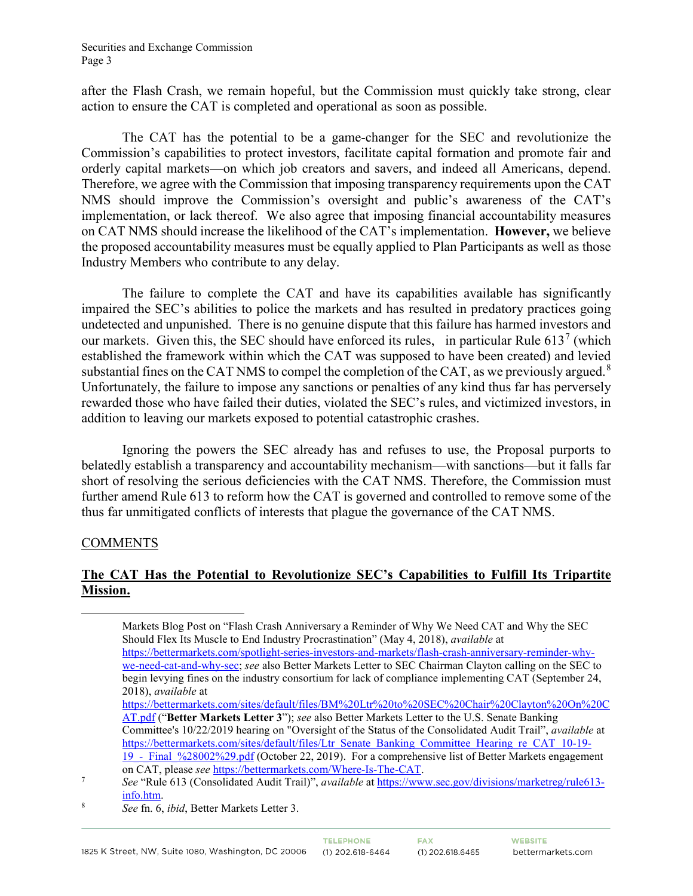Securities and Exchange Commission Page 3

after the Flash Crash, we remain hopeful, but the Commission must quickly take strong, clear action to ensure the CAT is completed and operational as soon as possible.

The CAT has the potential to be a game-changer for the SEC and revolutionize the Commission's capabilities to protect investors, facilitate capital formation and promote fair and orderly capital markets—on which job creators and savers, and indeed all Americans, depend. Therefore, we agree with the Commission that imposing transparency requirements upon the CAT NMS should improve the Commission's oversight and public's awareness of the CAT's implementation, or lack thereof. We also agree that imposing financial accountability measures on CAT NMS should increase the likelihood of the CAT's implementation. **However,** we believe the proposed accountability measures must be equally applied to Plan Participants as well as those Industry Members who contribute to any delay.

The failure to complete the CAT and have its capabilities available has significantly impaired the SEC's abilities to police the markets and has resulted in predatory practices going undetected and unpunished. There is no genuine dispute that this failure has harmed investors and our markets. Given this, the SEC should have enforced its rules, in particular Rule  $613<sup>7</sup>$  $613<sup>7</sup>$  $613<sup>7</sup>$  (which established the framework within which the CAT was supposed to have been created) and levied substantial fines on the CAT NMS to compel the completion of the CAT, as we previously argued.<sup>[8](#page-2-1)</sup> Unfortunately, the failure to impose any sanctions or penalties of any kind thus far has perversely rewarded those who have failed their duties, violated the SEC's rules, and victimized investors, in addition to leaving our markets exposed to potential catastrophic crashes.

Ignoring the powers the SEC already has and refuses to use, the Proposal purports to belatedly establish a transparency and accountability mechanism—with sanctions—but it falls far short of resolving the serious deficiencies with the CAT NMS. Therefore, the Commission must further amend Rule 613 to reform how the CAT is governed and controlled to remove some of the thus far unmitigated conflicts of interests that plague the governance of the CAT NMS.

### **COMMENTS**

## **The CAT Has the Potential to Revolutionize SEC's Capabilities to Fulfill Its Tripartite Mission.**

 Markets Blog Post on "Flash Crash Anniversary a Reminder of Why We Need CAT and Why the SEC Should Flex Its Muscle to End Industry Procrastination" (May 4, 2018), *available* at [https://bettermarkets.com/spotlight-series-investors-and-markets/flash-crash-anniversary-reminder-why](https://bettermarkets.com/spotlight-series-investors-and-markets/flash-crash-anniversary-reminder-why-we-need-cat-and-why-sec)[we-need-cat-and-why-sec;](https://bettermarkets.com/spotlight-series-investors-and-markets/flash-crash-anniversary-reminder-why-we-need-cat-and-why-sec) *see* also Better Markets Letter to SEC Chairman Clayton calling on the SEC to begin levying fines on the industry consortium for lack of compliance implementing CAT (September 24, 2018), *available* at

[https://bettermarkets.com/sites/default/files/BM%20Ltr%20to%20SEC%20Chair%20Clayton%20On%20C](https://bettermarkets.com/sites/default/files/BM%20Ltr%20to%20SEC%20Chair%20Clayton%20On%20CAT.pdf) [AT.pdf](https://bettermarkets.com/sites/default/files/BM%20Ltr%20to%20SEC%20Chair%20Clayton%20On%20CAT.pdf) ("**Better Markets Letter 3**"); *see* also Better Markets Letter to the U.S. Senate Banking Committee's 10/22/2019 hearing on "Oversight of the Status of the Consolidated Audit Trail", *available* at [https://bettermarkets.com/sites/default/files/Ltr\\_Senate\\_Banking\\_Committee\\_Hearing\\_re\\_CAT\\_10-19-](https://bettermarkets.com/sites/default/files/Ltr_Senate_Banking_Committee_Hearing_re_CAT_10-19-19_-_Final_%28002%29.pdf) 19 - Final %28002%29.pdf (October 22, 2019). For a comprehensive list of Better Markets engagement

<span id="page-2-0"></span>on CAT, please *see* [https://bettermarkets.com/Where-Is-The-CAT.](https://bettermarkets.com/Where-Is-The-CAT) 7 *See* "Rule 613 (Consolidated Audit Trail)", *available* at [https://www.sec.gov/divisions/marketreg/rule613](https://www.sec.gov/divisions/marketreg/rule613-info.htm) [info.htm.](https://www.sec.gov/divisions/marketreg/rule613-info.htm)

<span id="page-2-1"></span><sup>8</sup> *See* fn. 6, *ibid*, Better Markets Letter 3.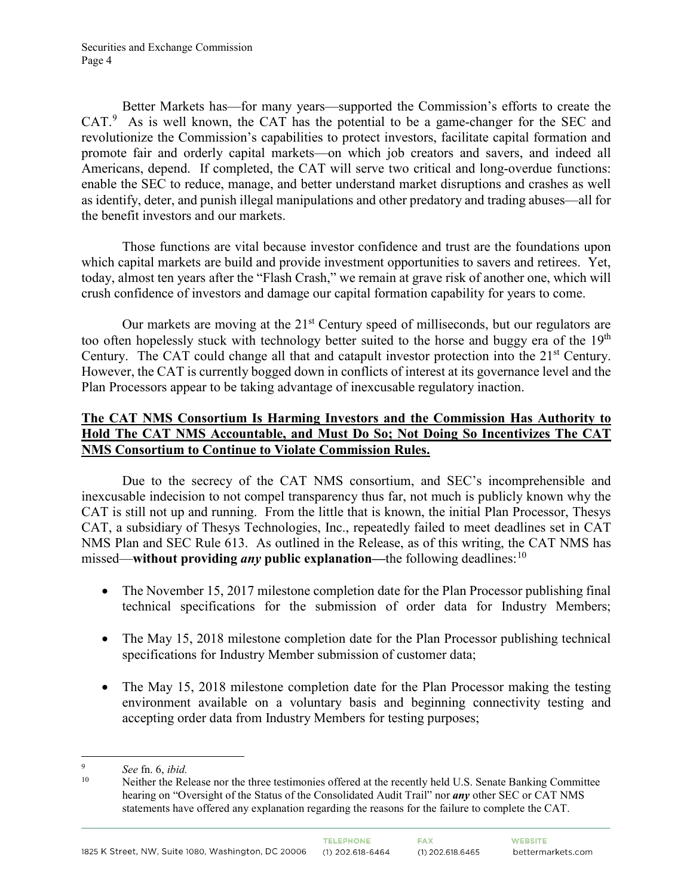Better Markets has—for many years—supported the Commission's efforts to create the  $CAT.^9$  $CAT.^9$  As is well known, the CAT has the potential to be a game-changer for the SEC and revolutionize the Commission's capabilities to protect investors, facilitate capital formation and promote fair and orderly capital markets—on which job creators and savers, and indeed all Americans, depend. If completed, the CAT will serve two critical and long-overdue functions: enable the SEC to reduce, manage, and better understand market disruptions and crashes as well as identify, deter, and punish illegal manipulations and other predatory and trading abuses—all for the benefit investors and our markets.

Those functions are vital because investor confidence and trust are the foundations upon which capital markets are build and provide investment opportunities to savers and retirees. Yet, today, almost ten years after the "Flash Crash," we remain at grave risk of another one, which will crush confidence of investors and damage our capital formation capability for years to come.

Our markets are moving at the  $21<sup>st</sup>$  Century speed of milliseconds, but our regulators are too often hopelessly stuck with technology better suited to the horse and buggy era of the  $19<sup>th</sup>$ Century. The CAT could change all that and catapult investor protection into the 21<sup>st</sup> Century. However, the CAT is currently bogged down in conflicts of interest at its governance level and the Plan Processors appear to be taking advantage of inexcusable regulatory inaction.

## **The CAT NMS Consortium Is Harming Investors and the Commission Has Authority to Hold The CAT NMS Accountable, and Must Do So; Not Doing So Incentivizes The CAT NMS Consortium to Continue to Violate Commission Rules.**

Due to the secrecy of the CAT NMS consortium, and SEC's incomprehensible and inexcusable indecision to not compel transparency thus far, not much is publicly known why the CAT is still not up and running. From the little that is known, the initial Plan Processor, Thesys CAT, a subsidiary of Thesys Technologies, Inc., repeatedly failed to meet deadlines set in CAT NMS Plan and SEC Rule 613. As outlined in the Release, as of this writing, the CAT NMS has missed—**without providing** *any* **public explanation—**the following deadlines:<sup>[10](#page-3-1)</sup>

- The November 15, 2017 milestone completion date for the Plan Processor publishing final technical specifications for the submission of order data for Industry Members;
- The May 15, 2018 milestone completion date for the Plan Processor publishing technical specifications for Industry Member submission of customer data;
- The May 15, 2018 milestone completion date for the Plan Processor making the testing environment available on a voluntary basis and beginning connectivity testing and accepting order data from Industry Members for testing purposes;

<span id="page-3-1"></span><span id="page-3-0"></span> <sup>9</sup> *See* fn. 6, *ibid.* 

<sup>10</sup> Neither the Release nor the three testimonies offered at the recently held U.S. Senate Banking Committee hearing on "Oversight of the Status of the Consolidated Audit Trail" nor *any* other SEC or CAT NMS statements have offered any explanation regarding the reasons for the failure to complete the CAT.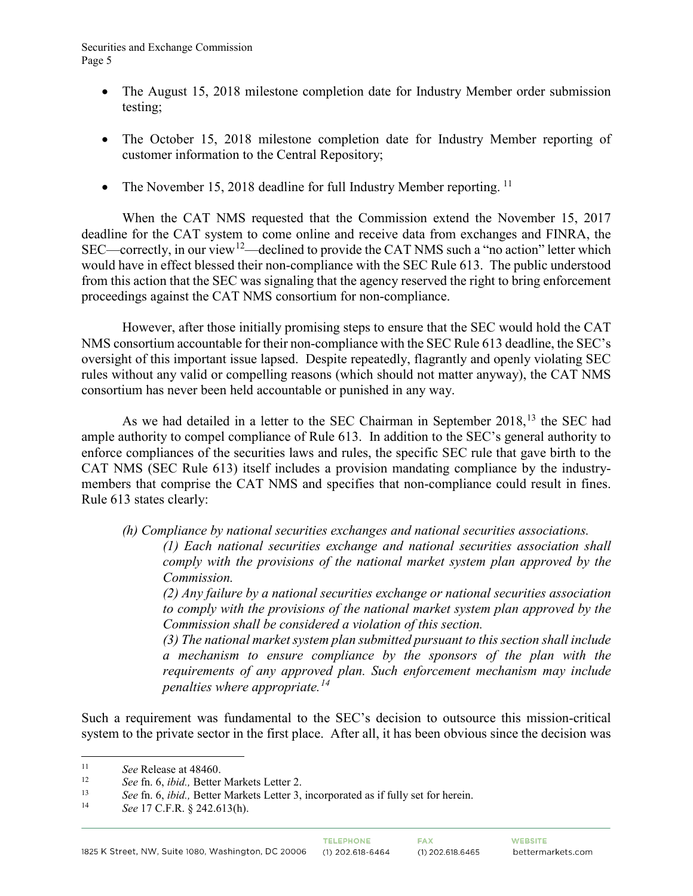- The August 15, 2018 milestone completion date for Industry Member order submission testing;
- The October 15, 2018 milestone completion date for Industry Member reporting of customer information to the Central Repository;
- The November 15, 2018 deadline for full Industry Member reporting.  $^{11}$  $^{11}$  $^{11}$

When the CAT NMS requested that the Commission extend the November 15, 2017 deadline for the CAT system to come online and receive data from exchanges and FINRA, the SEC—correctly, in our view<sup>[12](#page-4-1)</sup>—declined to provide the CAT NMS such a "no action" letter which would have in effect blessed their non-compliance with the SEC Rule 613. The public understood from this action that the SEC was signaling that the agency reserved the right to bring enforcement proceedings against the CAT NMS consortium for non-compliance.

However, after those initially promising steps to ensure that the SEC would hold the CAT NMS consortium accountable for their non-compliance with the SEC Rule 613 deadline, the SEC's oversight of this important issue lapsed. Despite repeatedly, flagrantly and openly violating SEC rules without any valid or compelling reasons (which should not matter anyway), the CAT NMS consortium has never been held accountable or punished in any way.

As we had detailed in a letter to the SEC Chairman in September 2018,<sup>[13](#page-4-2)</sup> the SEC had ample authority to compel compliance of Rule 613. In addition to the SEC's general authority to enforce compliances of the securities laws and rules, the specific SEC rule that gave birth to the CAT NMS (SEC Rule 613) itself includes a provision mandating compliance by the industrymembers that comprise the CAT NMS and specifies that non-compliance could result in fines. Rule 613 states clearly:

*(h) Compliance by national securities exchanges and national securities associations.*

*(1) Each national securities exchange and national securities association shall comply with the provisions of the national market system plan approved by the Commission.*

*(2) Any failure by a national securities exchange or national securities association to comply with the provisions of the national market system plan approved by the Commission shall be considered a violation of this section.*

*(3) The national market system plan submitted pursuant to this section shall include a mechanism to ensure compliance by the sponsors of the plan with the requirements of any approved plan. Such enforcement mechanism may include penalties where appropriate.[14](#page-4-3)*

Such a requirement was fundamental to the SEC's decision to outsource this mission-critical system to the private sector in the first place. After all, it has been obvious since the decision was

<span id="page-4-0"></span> <sup>11</sup> *See* Release at 48460.

<span id="page-4-2"></span><span id="page-4-1"></span><sup>12</sup> *See* fn. 6, *ibid.,* Better Markets Letter 2. 13 *See* fn. 6, *ibid.,* Better Markets Letter 3, incorporated as if fully set for herein. 14 *See* 17 C.F.R. § 242.613(h).

<span id="page-4-3"></span>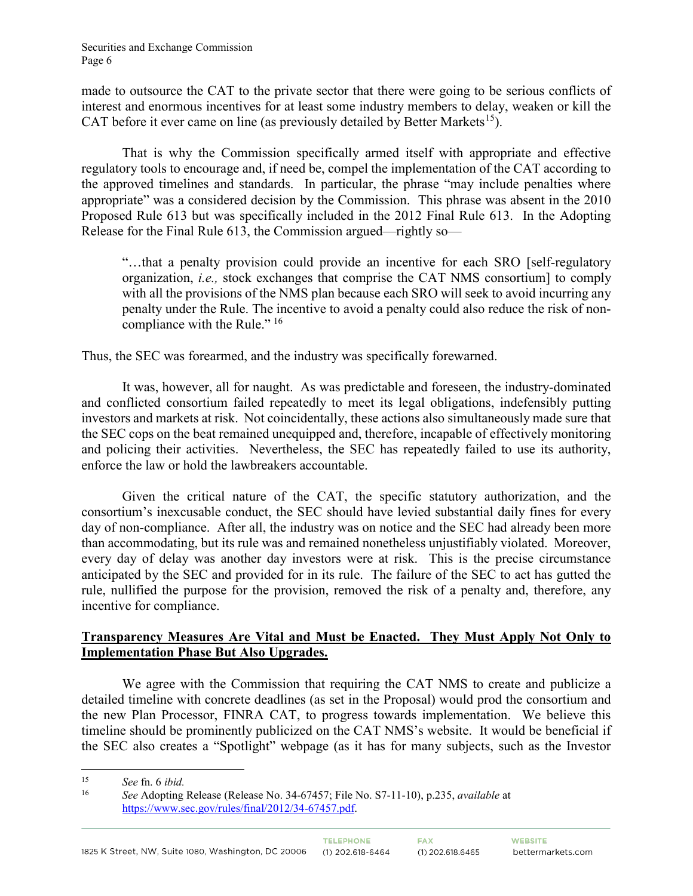made to outsource the CAT to the private sector that there were going to be serious conflicts of interest and enormous incentives for at least some industry members to delay, weaken or kill the CAT before it ever came on line (as previously detailed by Better Markets<sup>[15](#page-5-0)</sup>).

That is why the Commission specifically armed itself with appropriate and effective regulatory tools to encourage and, if need be, compel the implementation of the CAT according to the approved timelines and standards. In particular, the phrase "may include penalties where appropriate" was a considered decision by the Commission. This phrase was absent in the 2010 Proposed Rule 613 but was specifically included in the 2012 Final Rule 613. In the Adopting Release for the Final Rule 613, the Commission argued—rightly so—

"…that a penalty provision could provide an incentive for each SRO [self-regulatory organization, *i.e.,* stock exchanges that comprise the CAT NMS consortium] to comply with all the provisions of the NMS plan because each SRO will seek to avoid incurring any penalty under the Rule. The incentive to avoid a penalty could also reduce the risk of non-compliance with the Rule."<sup>[16](#page-5-1)</sup>

Thus, the SEC was forearmed, and the industry was specifically forewarned.

It was, however, all for naught. As was predictable and foreseen, the industry-dominated and conflicted consortium failed repeatedly to meet its legal obligations, indefensibly putting investors and markets at risk. Not coincidentally, these actions also simultaneously made sure that the SEC cops on the beat remained unequipped and, therefore, incapable of effectively monitoring and policing their activities. Nevertheless, the SEC has repeatedly failed to use its authority, enforce the law or hold the lawbreakers accountable.

Given the critical nature of the CAT, the specific statutory authorization, and the consortium's inexcusable conduct, the SEC should have levied substantial daily fines for every day of non-compliance. After all, the industry was on notice and the SEC had already been more than accommodating, but its rule was and remained nonetheless unjustifiably violated. Moreover, every day of delay was another day investors were at risk. This is the precise circumstance anticipated by the SEC and provided for in its rule. The failure of the SEC to act has gutted the rule, nullified the purpose for the provision, removed the risk of a penalty and, therefore, any incentive for compliance.

# **Transparency Measures Are Vital and Must be Enacted. They Must Apply Not Only to Implementation Phase But Also Upgrades.**

We agree with the Commission that requiring the CAT NMS to create and publicize a detailed timeline with concrete deadlines (as set in the Proposal) would prod the consortium and the new Plan Processor, FINRA CAT, to progress towards implementation. We believe this timeline should be prominently publicized on the CAT NMS's website. It would be beneficial if the SEC also creates a "Spotlight" webpage (as it has for many subjects, such as the Investor

<span id="page-5-0"></span> <sup>15</sup> *See* fn. 6 *ibid.*

<span id="page-5-1"></span><sup>16</sup> *See* Adopting Release (Release No. 34-67457; File No. S7-11-10), p.235, *available* at [https://www.sec.gov/rules/final/2012/34-67457.pdf.](https://www.sec.gov/rules/final/2012/34-67457.pdf)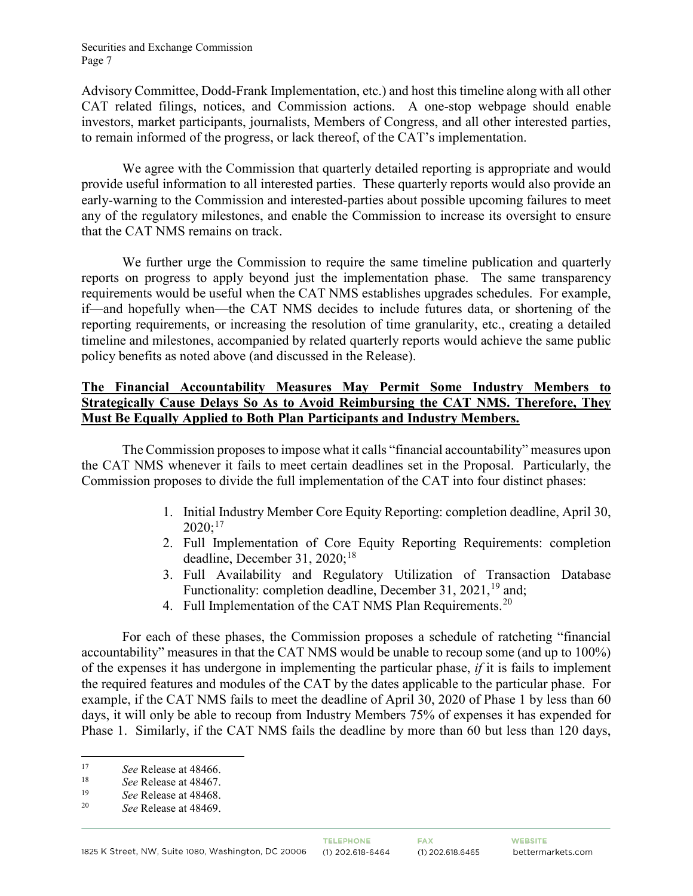#### Securities and Exchange Commission Page 7

Advisory Committee, Dodd-Frank Implementation, etc.) and host this timeline along with all other CAT related filings, notices, and Commission actions. A one-stop webpage should enable investors, market participants, journalists, Members of Congress, and all other interested parties, to remain informed of the progress, or lack thereof, of the CAT's implementation.

We agree with the Commission that quarterly detailed reporting is appropriate and would provide useful information to all interested parties. These quarterly reports would also provide an early-warning to the Commission and interested-parties about possible upcoming failures to meet any of the regulatory milestones, and enable the Commission to increase its oversight to ensure that the CAT NMS remains on track.

We further urge the Commission to require the same timeline publication and quarterly reports on progress to apply beyond just the implementation phase. The same transparency requirements would be useful when the CAT NMS establishes upgrades schedules. For example, if—and hopefully when—the CAT NMS decides to include futures data, or shortening of the reporting requirements, or increasing the resolution of time granularity, etc., creating a detailed timeline and milestones, accompanied by related quarterly reports would achieve the same public policy benefits as noted above (and discussed in the Release).

# **The Financial Accountability Measures May Permit Some Industry Members to Strategically Cause Delays So As to Avoid Reimbursing the CAT NMS. Therefore, They Must Be Equally Applied to Both Plan Participants and Industry Members.**

The Commission proposes to impose what it calls "financial accountability" measures upon the CAT NMS whenever it fails to meet certain deadlines set in the Proposal. Particularly, the Commission proposes to divide the full implementation of the CAT into four distinct phases:

- 1. Initial Industry Member Core Equity Reporting: completion deadline, April 30,  $2020$ ;<sup>[17](#page-6-0)</sup>
- 2. Full Implementation of Core Equity Reporting Requirements: completion deadline, December 31, 2020;<sup>[18](#page-6-1)</sup>
- 3. Full Availability and Regulatory Utilization of Transaction Database Functionality: completion deadline, December 31,  $2021$ ,  $^{19}$  $^{19}$  $^{19}$  and;
- 4. Full Implementation of the CAT NMS Plan Requirements.<sup>[20](#page-6-3)</sup>

For each of these phases, the Commission proposes a schedule of ratcheting "financial accountability" measures in that the CAT NMS would be unable to recoup some (and up to 100%) of the expenses it has undergone in implementing the particular phase, *if* it is fails to implement the required features and modules of the CAT by the dates applicable to the particular phase. For example, if the CAT NMS fails to meet the deadline of April 30, 2020 of Phase 1 by less than 60 days, it will only be able to recoup from Industry Members 75% of expenses it has expended for Phase 1. Similarly, if the CAT NMS fails the deadline by more than 60 but less than 120 days,

<span id="page-6-0"></span><sup>17</sup> *See* Release at 48466.

<span id="page-6-1"></span><sup>18</sup> *See* Release at 48467.

<span id="page-6-3"></span><span id="page-6-2"></span><sup>&</sup>lt;sup>19</sup> *See* Release at 48468.<br><sup>20</sup> *See Pelasse at 48460* 

<sup>20</sup> *See* Release at 48469.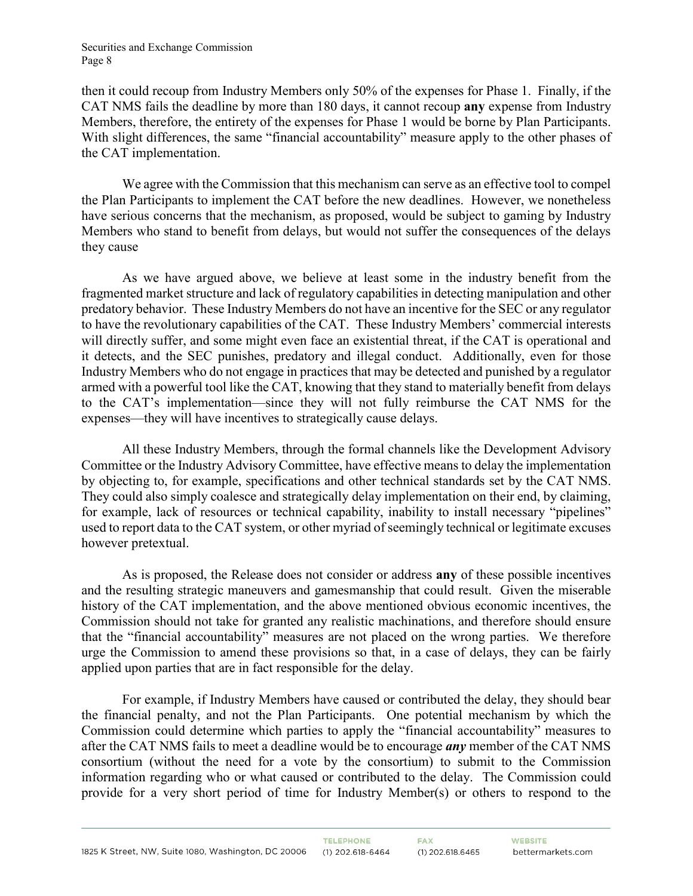then it could recoup from Industry Members only 50% of the expenses for Phase 1. Finally, if the CAT NMS fails the deadline by more than 180 days, it cannot recoup **any** expense from Industry Members, therefore, the entirety of the expenses for Phase 1 would be borne by Plan Participants. With slight differences, the same "financial accountability" measure apply to the other phases of the CAT implementation.

We agree with the Commission that this mechanism can serve as an effective tool to compel the Plan Participants to implement the CAT before the new deadlines. However, we nonetheless have serious concerns that the mechanism, as proposed, would be subject to gaming by Industry Members who stand to benefit from delays, but would not suffer the consequences of the delays they cause

As we have argued above, we believe at least some in the industry benefit from the fragmented market structure and lack of regulatory capabilities in detecting manipulation and other predatory behavior. These Industry Members do not have an incentive for the SEC or any regulator to have the revolutionary capabilities of the CAT. These Industry Members' commercial interests will directly suffer, and some might even face an existential threat, if the CAT is operational and it detects, and the SEC punishes, predatory and illegal conduct. Additionally, even for those Industry Members who do not engage in practices that may be detected and punished by a regulator armed with a powerful tool like the CAT, knowing that they stand to materially benefit from delays to the CAT's implementation—since they will not fully reimburse the CAT NMS for the expenses—they will have incentives to strategically cause delays.

All these Industry Members, through the formal channels like the Development Advisory Committee or the Industry Advisory Committee, have effective means to delay the implementation by objecting to, for example, specifications and other technical standards set by the CAT NMS. They could also simply coalesce and strategically delay implementation on their end, by claiming, for example, lack of resources or technical capability, inability to install necessary "pipelines" used to report data to the CAT system, or other myriad of seemingly technical or legitimate excuses however pretextual.

As is proposed, the Release does not consider or address **any** of these possible incentives and the resulting strategic maneuvers and gamesmanship that could result. Given the miserable history of the CAT implementation, and the above mentioned obvious economic incentives, the Commission should not take for granted any realistic machinations, and therefore should ensure that the "financial accountability" measures are not placed on the wrong parties. We therefore urge the Commission to amend these provisions so that, in a case of delays, they can be fairly applied upon parties that are in fact responsible for the delay.

For example, if Industry Members have caused or contributed the delay, they should bear the financial penalty, and not the Plan Participants. One potential mechanism by which the Commission could determine which parties to apply the "financial accountability" measures to after the CAT NMS fails to meet a deadline would be to encourage *any* member of the CAT NMS consortium (without the need for a vote by the consortium) to submit to the Commission information regarding who or what caused or contributed to the delay. The Commission could provide for a very short period of time for Industry Member(s) or others to respond to the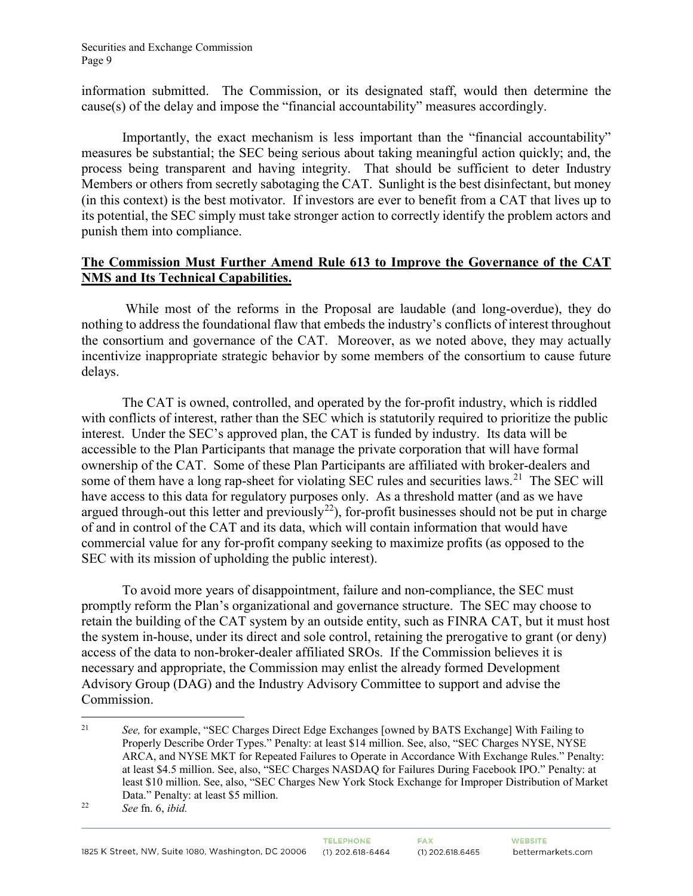information submitted. The Commission, or its designated staff, would then determine the cause(s) of the delay and impose the "financial accountability" measures accordingly.

Importantly, the exact mechanism is less important than the "financial accountability" measures be substantial; the SEC being serious about taking meaningful action quickly; and, the process being transparent and having integrity. That should be sufficient to deter Industry Members or others from secretly sabotaging the CAT. Sunlight is the best disinfectant, but money (in this context) is the best motivator. If investors are ever to benefit from a CAT that lives up to its potential, the SEC simply must take stronger action to correctly identify the problem actors and punish them into compliance.

# **The Commission Must Further Amend Rule 613 to Improve the Governance of the CAT NMS and Its Technical Capabilities.**

While most of the reforms in the Proposal are laudable (and long-overdue), they do nothing to address the foundational flaw that embeds the industry's conflicts of interest throughout the consortium and governance of the CAT. Moreover, as we noted above, they may actually incentivize inappropriate strategic behavior by some members of the consortium to cause future delays.

The CAT is owned, controlled, and operated by the for-profit industry, which is riddled with conflicts of interest, rather than the SEC which is statutorily required to prioritize the public interest. Under the SEC's approved plan, the CAT is funded by industry. Its data will be accessible to the Plan Participants that manage the private corporation that will have formal ownership of the CAT. Some of these Plan Participants are affiliated with broker-dealers and some of them have a long rap-sheet for violating SEC rules and securities laws.<sup>[21](#page-8-0)</sup> The SEC will have access to this data for regulatory purposes only. As a threshold matter (and as we have argued through-out this letter and previously<sup>[22](#page-8-1)</sup>), for-profit businesses should not be put in charge of and in control of the CAT and its data, which will contain information that would have commercial value for any for-profit company seeking to maximize profits (as opposed to the SEC with its mission of upholding the public interest).

To avoid more years of disappointment, failure and non-compliance, the SEC must promptly reform the Plan's organizational and governance structure. The SEC may choose to retain the building of the CAT system by an outside entity, such as FINRA CAT, but it must host the system in-house, under its direct and sole control, retaining the prerogative to grant (or deny) access of the data to non-broker-dealer affiliated SROs. If the Commission believes it is necessary and appropriate, the Commission may enlist the already formed Development Advisory Group (DAG) and the Industry Advisory Committee to support and advise the Commission.

<span id="page-8-0"></span> <sup>21</sup> *See,* for example, "SEC Charges Direct Edge Exchanges [owned by BATS Exchange] With Failing to Properly Describe Order Types." Penalty: at least \$14 million. See, also, "SEC Charges NYSE, NYSE ARCA, and NYSE MKT for Repeated Failures to Operate in Accordance With Exchange Rules." Penalty: at least \$4.5 million. See, also, "SEC Charges NASDAQ for Failures During Facebook IPO." Penalty: at least \$10 million. See, also, "SEC Charges New York Stock Exchange for Improper Distribution of Market Data." Penalty: at least \$5 million.

<span id="page-8-1"></span><sup>22</sup> *See* fn. 6, *ibid.*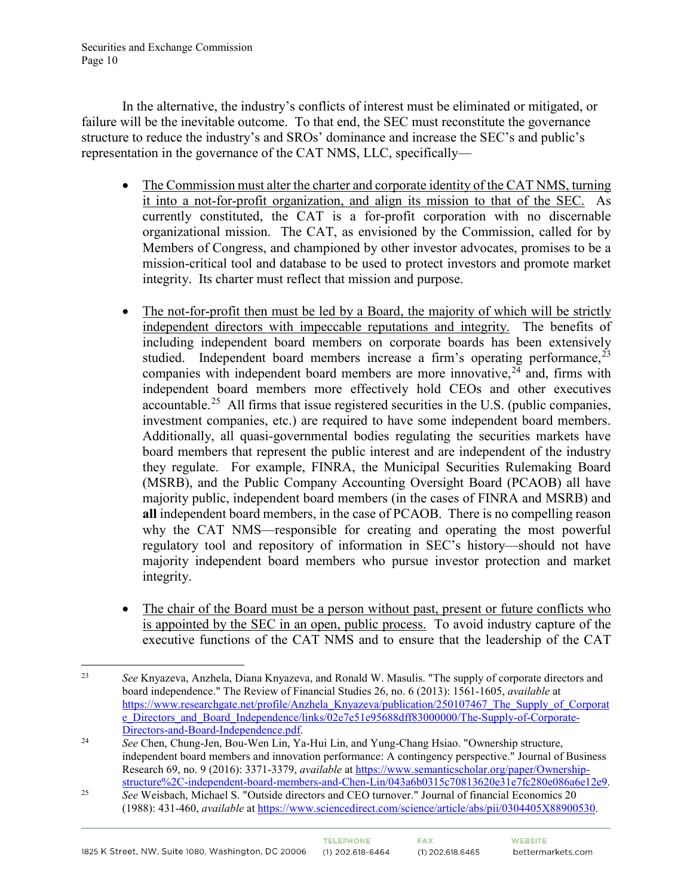In the alternative, the industry's conflicts of interest must be eliminated or mitigated, or failure will be the inevitable outcome. To that end, the SEC must reconstitute the governance structure to reduce the industry's and SROs' dominance and increase the SEC's and public's representation in the governance of the CAT NMS, LLC, specifically—

- The Commission must alter the charter and corporate identity of the CAT NMS, turning it into a not-for-profit organization, and align its mission to that of the SEC. As currently constituted, the CAT is a for-profit corporation with no discernable organizational mission. The CAT, as envisioned by the Commission, called for by Members of Congress, and championed by other investor advocates, promises to be a mission-critical tool and database to be used to protect investors and promote market integrity. Its charter must reflect that mission and purpose.
- The not-for-profit then must be led by a Board, the majority of which will be strictly independent directors with impeccable reputations and integrity. The benefits of including independent board members on corporate boards has been extensively studied. Independent board members increase a firm's operating performance,  $2<sup>3</sup>$ companies with independent board members are more innovative,  $24$  and, firms with independent board members more effectively hold CEOs and other executives accountable.<sup>[25](#page-9-2)</sup> All firms that issue registered securities in the U.S. (public companies, investment companies, etc.) are required to have some independent board members. Additionally, all quasi-governmental bodies regulating the securities markets have board members that represent the public interest and are independent of the industry they regulate. For example, FINRA, the Municipal Securities Rulemaking Board (MSRB), and the Public Company Accounting Oversight Board (PCAOB) all have majority public, independent board members (in the cases of FINRA and MSRB) and **all** independent board members, in the case of PCAOB. There is no compelling reason why the CAT NMS—responsible for creating and operating the most powerful regulatory tool and repository of information in SEC's history—should not have majority independent board members who pursue investor protection and market integrity.
- The chair of the Board must be a person without past, present or future conflicts who is appointed by the SEC in an open, public process. To avoid industry capture of the executive functions of the CAT NMS and to ensure that the leadership of the CAT

<span id="page-9-0"></span> <sup>23</sup> *See* Knyazeva, Anzhela, Diana Knyazeva, and Ronald W. Masulis. "The supply of corporate directors and board independence." The Review of Financial Studies 26, no. 6 (2013): 1561-1605, *available* at https://www.researchgate.net/profile/Anzhela Knyazeva/publication/250107467 The Supply of Corporat e\_Directors\_and\_Board\_Independence/links/02e7e51e95688dff83000000/The-Supply-of-Corporate-<br>Directors-and-Board-Independence.pdf.

<span id="page-9-1"></span><sup>&</sup>lt;sup>24</sup> See Chen, Chung-Jen, Bou-Wen Lin, Ya-Hui Lin, and Yung-Chang Hsiao. "Ownership structure, independent board members and innovation performance: A contingency perspective." Journal of Business Research 69, no. 9 (2016): 3371-3379, *available* at https://www.semanticscholar.org/paper/Ownership-<br>structure%2C-independent-board-members-and-Chen-Lin/043a6b0315c70813620e31e7fc280e086a6e12e9.

<span id="page-9-2"></span><sup>&</sup>lt;sup>25</sup> See Weisbach, Michael S. "Outside directors and CEO turnover." Journal of financial Economics 20 (1988): 431-460, *available* a[t https://www.sciencedirect.com/science/article/abs/pii/0304405X88900530.](https://www.sciencedirect.com/science/article/abs/pii/0304405X88900530)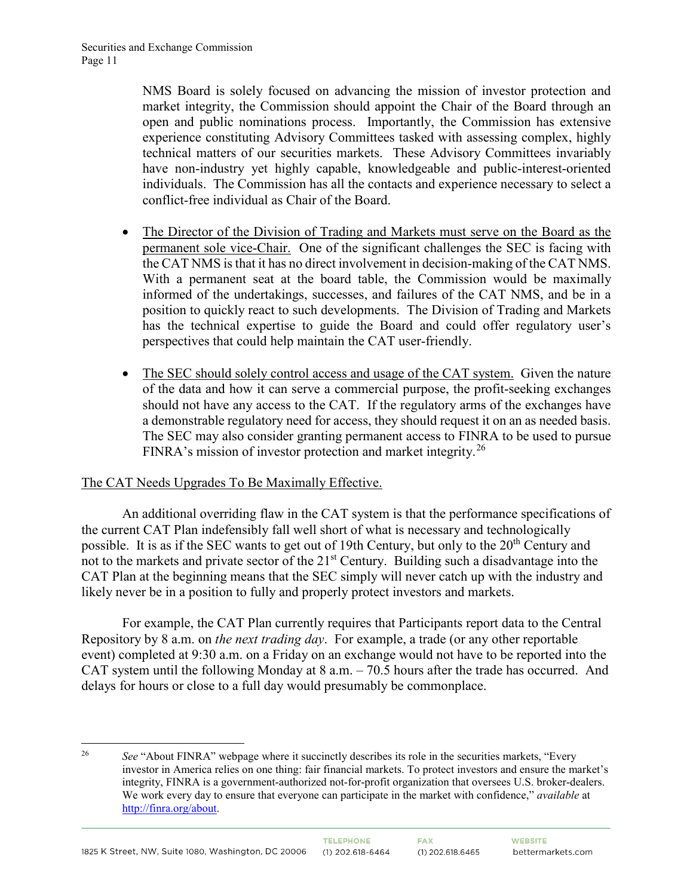NMS Board is solely focused on advancing the mission of investor protection and market integrity, the Commission should appoint the Chair of the Board through an open and public nominations process. Importantly, the Commission has extensive experience constituting Advisory Committees tasked with assessing complex, highly technical matters of our securities markets. These Advisory Committees invariably have non-industry yet highly capable, knowledgeable and public-interest-oriented individuals. The Commission has all the contacts and experience necessary to select a conflict-free individual as Chair of the Board.

- The Director of the Division of Trading and Markets must serve on the Board as the permanent sole vice-Chair. One of the significant challenges the SEC is facing with the CAT NMS is that it has no direct involvement in decision-making of the CAT NMS. With a permanent seat at the board table, the Commission would be maximally informed of the undertakings, successes, and failures of the CAT NMS, and be in a position to quickly react to such developments. The Division of Trading and Markets has the technical expertise to guide the Board and could offer regulatory user's perspectives that could help maintain the CAT user-friendly.
- The SEC should solely control access and usage of the CAT system. Given the nature of the data and how it can serve a commercial purpose, the profit-seeking exchanges should not have any access to the CAT. If the regulatory arms of the exchanges have a demonstrable regulatory need for access, they should request it on an as needed basis. The SEC may also consider granting permanent access to FINRA to be used to pursue FINRA's mission of investor protection and market integrity.<sup>[26](#page-10-0)</sup>

## The CAT Needs Upgrades To Be Maximally Effective.

An additional overriding flaw in the CAT system is that the performance specifications of the current CAT Plan indefensibly fall well short of what is necessary and technologically possible. It is as if the SEC wants to get out of 19th Century, but only to the 20<sup>th</sup> Century and not to the markets and private sector of the 21<sup>st</sup> Century. Building such a disadvantage into the CAT Plan at the beginning means that the SEC simply will never catch up with the industry and likely never be in a position to fully and properly protect investors and markets.

For example, the CAT Plan currently requires that Participants report data to the Central Repository by 8 a.m. on *the next trading day*. For example, a trade (or any other reportable event) completed at 9:30 a.m. on a Friday on an exchange would not have to be reported into the CAT system until the following Monday at 8 a.m. – 70.5 hours after the trade has occurred. And delays for hours or close to a full day would presumably be commonplace.

<span id="page-10-0"></span><sup>&</sup>lt;sup>26</sup> *See* "About FINRA" webpage where it succinctly describes its role in the securities markets, "Every" investor in America relies on one thing: fair financial markets. To protect investors and ensure the market's integrity, FINRA is a government-authorized not-for-profit organization that oversees U.S. broker-dealers. We work every day to ensure that everyone can participate in the market with confidence," *available* at [http://finra.org/about.](http://finra.org/about)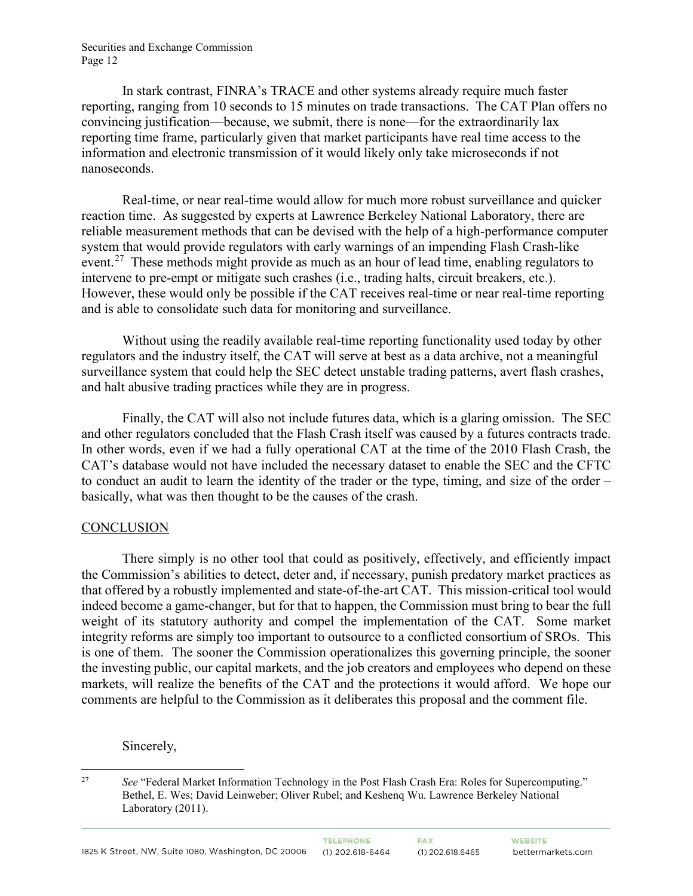In stark contrast, FINRA's TRACE and other systems already require much faster reporting, ranging from 10 seconds to 15 minutes on trade transactions. The CAT Plan offers no convincing justification—because, we submit, there is none—for the extraordinarily lax reporting time frame, particularly given that market participants have real time access to the information and electronic transmission of it would likely only take microseconds if not nanoseconds.

Real-time, or near real-time would allow for much more robust surveillance and quicker reaction time. As suggested by experts at Lawrence Berkeley National Laboratory, there are reliable measurement methods that can be devised with the help of a high-performance computer system that would provide regulators with early warnings of an impending Flash Crash-like event.<sup>[27](#page-11-0)</sup> These methods might provide as much as an hour of lead time, enabling regulators to intervene to pre-empt or mitigate such crashes (i.e., trading halts, circuit breakers, etc.). However, these would only be possible if the CAT receives real-time or near real-time reporting and is able to consolidate such data for monitoring and surveillance.

Without using the readily available real-time reporting functionality used today by other regulators and the industry itself, the CAT will serve at best as a data archive, not a meaningful surveillance system that could help the SEC detect unstable trading patterns, avert flash crashes, and halt abusive trading practices while they are in progress.

Finally, the CAT will also not include futures data, which is a glaring omission. The SEC and other regulators concluded that the Flash Crash itself was caused by a futures contracts trade. In other words, even if we had a fully operational CAT at the time of the 2010 Flash Crash, the CAT's database would not have included the necessary dataset to enable the SEC and the CFTC to conduct an audit to learn the identity of the trader or the type, timing, and size of the order – basically, what was then thought to be the causes of the crash.

### **CONCLUSION**

There simply is no other tool that could as positively, effectively, and efficiently impact the Commission's abilities to detect, deter and, if necessary, punish predatory market practices as that offered by a robustly implemented and state-of-the-art CAT. This mission-critical tool would indeed become a game-changer, but for that to happen, the Commission must bring to bear the full weight of its statutory authority and compel the implementation of the CAT. Some market integrity reforms are simply too important to outsource to a conflicted consortium of SROs. This is one of them. The sooner the Commission operationalizes this governing principle, the sooner the investing public, our capital markets, and the job creators and employees who depend on these markets, will realize the benefits of the CAT and the protections it would afford. We hope our comments are helpful to the Commission as it deliberates this proposal and the comment file.

Sincerely,

<span id="page-11-0"></span> <sup>27</sup> *See* "Federal Market Information Technology in the Post Flash Crash Era: Roles for Supercomputing." Bethel, E. Wes; David Leinweber; Oliver Rubel; and Keshenq Wu. Lawrence Berkeley National Laboratory (2011).